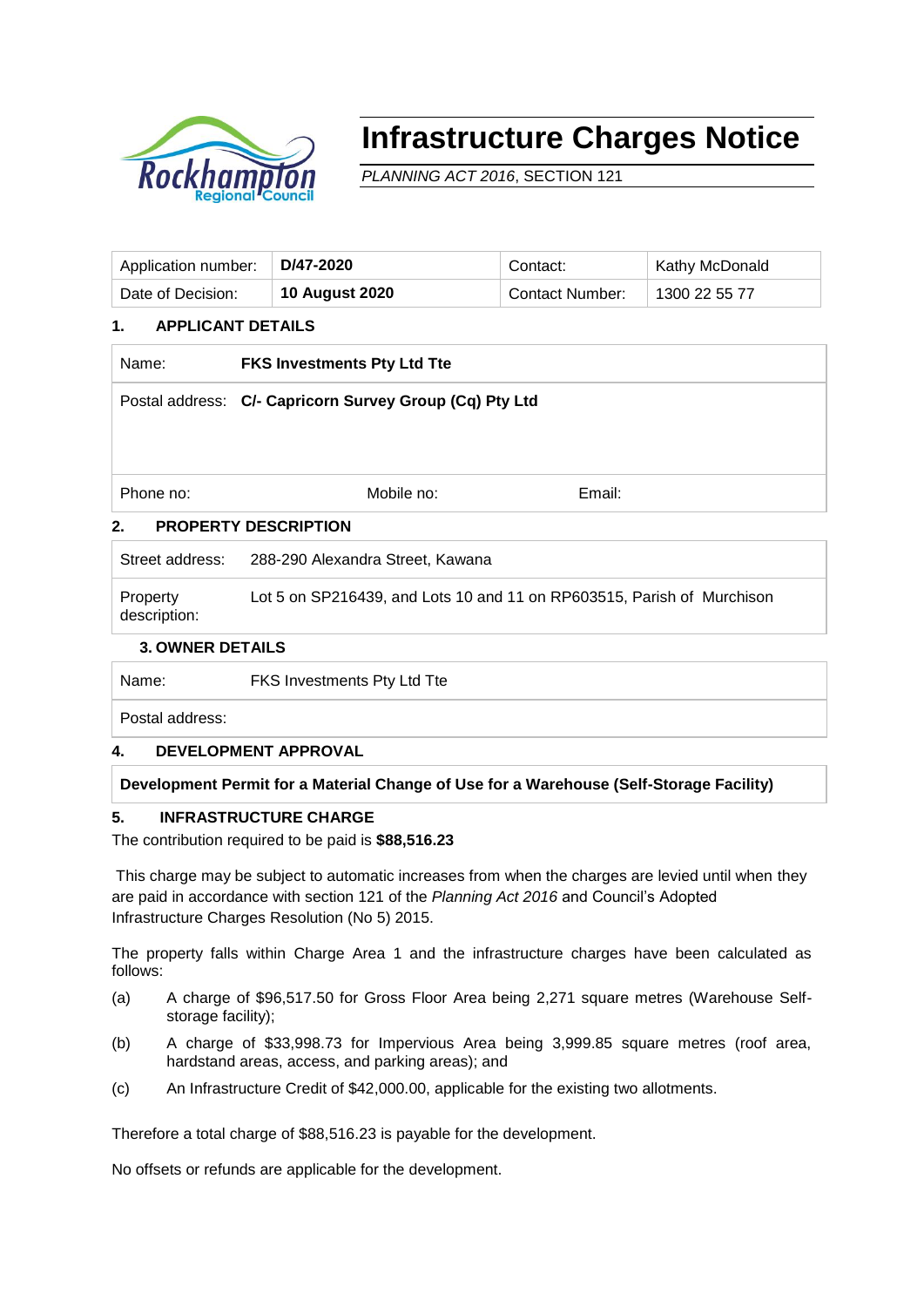

# **Infrastructure Charges Notice**

*PLANNING ACT 2016*, SECTION 121

| Application number: | D/47-2020             | Contact:               | Kathy McDonald |
|---------------------|-----------------------|------------------------|----------------|
| Date of Decision:   | <b>10 August 2020</b> | <b>Contact Number:</b> | 1300 22 55 77  |

# **1. APPLICANT DETAILS**

| Name:                             | <b>FKS Investments Pty Ltd Tte</b>                      |        |  |  |  |
|-----------------------------------|---------------------------------------------------------|--------|--|--|--|
|                                   | Postal address: C/- Capricorn Survey Group (Cq) Pty Ltd |        |  |  |  |
|                                   |                                                         |        |  |  |  |
|                                   |                                                         |        |  |  |  |
| Phone no:                         | Mobile no:                                              | Email: |  |  |  |
| 2.<br><b>PROPERTY DESCRIPTION</b> |                                                         |        |  |  |  |

Street address: 288-290 Alexandra Street, Kawana

Property description: Lot 5 on SP216439, and Lots 10 and 11 on RP603515, Parish of Murchison

# **3. OWNER DETAILS**

Name: FKS Investments Pty Ltd Tte

Postal address:

# **4. DEVELOPMENT APPROVAL**

**Development Permit for a Material Change of Use for a Warehouse (Self-Storage Facility)**

# **5. INFRASTRUCTURE CHARGE**

The contribution required to be paid is **\$88,516.23**

This charge may be subject to automatic increases from when the charges are levied until when they are paid in accordance with section 121 of the *Planning Act 2016* and Council's Adopted Infrastructure Charges Resolution (No 5) 2015.

The property falls within Charge Area 1 and the infrastructure charges have been calculated as follows:

- (a) A charge of \$96,517.50 for Gross Floor Area being 2,271 square metres (Warehouse Selfstorage facility);
- (b) A charge of \$33,998.73 for Impervious Area being 3,999.85 square metres (roof area, hardstand areas, access, and parking areas); and
- (c) An Infrastructure Credit of \$42,000.00, applicable for the existing two allotments.

Therefore a total charge of \$88,516.23 is payable for the development.

No offsets or refunds are applicable for the development.